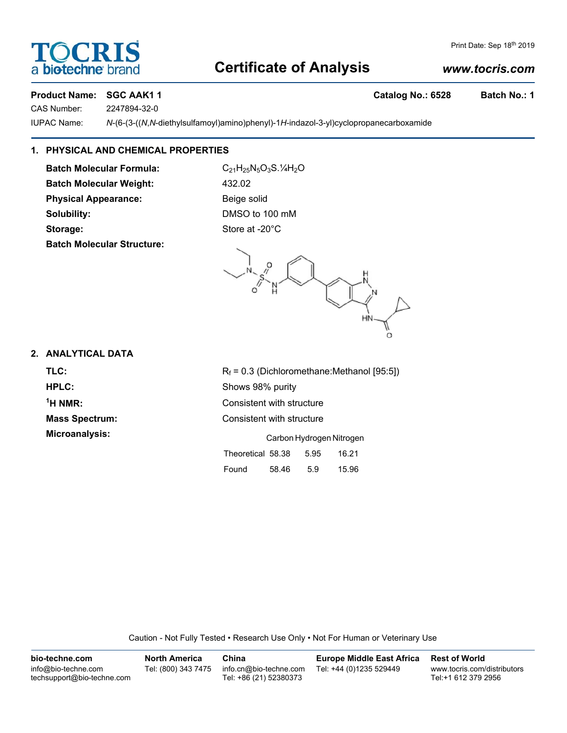# OCRIS biotechne bi

## Print Date: Sep 18th 2019

# **Certificate of Analysis**

## *www.tocris.com*

## Product Name: SGC AAK1 1 **Catalog No.: 6528** Batch No.: 1

CAS Number: 2247894-32-0

IUPAC Name: *N*-(6-(3-((*N*,*N*-diethylsulfamoyl)amino)phenyl)-1*H*-indazol-3-yl)cyclopropanecarboxamide

## **1. PHYSICAL AND CHEMICAL PROPERTIES**

**Batch Molecular Formula:** C<sub>21</sub>H<sub>25</sub>N<sub>5</sub>O<sub>3</sub>S.<sup>1</sup>/<sub>4</sub>H<sub>2</sub>O **Batch Molecular Weight:** 432.02 **Physical Appearance:** Beige solid **Solubility:** DMSO to 100 mM Storage: Storage: Store at -20°C **Batch Molecular Structure:**

Ū.

## **2. ANALYTICAL DATA**

 $<sup>1</sup>H NMR$ :</sup>

**TLC:**  $R_f = 0.3$  (Dichloromethane:Methanol [95:5]) **HPLC:** Shows 98% purity **Consistent with structure Mass Spectrum:** Consistent with structure **Microanalysis:** Carbon Hydrogen Nitrogen

| Theoretical 58.38 |       | 5.95 | 16.21 |
|-------------------|-------|------|-------|
| Found             | 58.46 | 5.9  | 15.96 |

Caution - Not Fully Tested • Research Use Only • Not For Human or Veterinary Use

**bio-techne.com** info@bio-techne.com techsupport@bio-techne.com **North America** Tel: (800) 343 7475 **China** info.cn@bio-techne.com Tel: +86 (21) 52380373 **Europe Middle East Africa** Tel: +44 (0)1235 529449 **Rest of World** www.tocris.com/distributors Tel:+1 612 379 2956